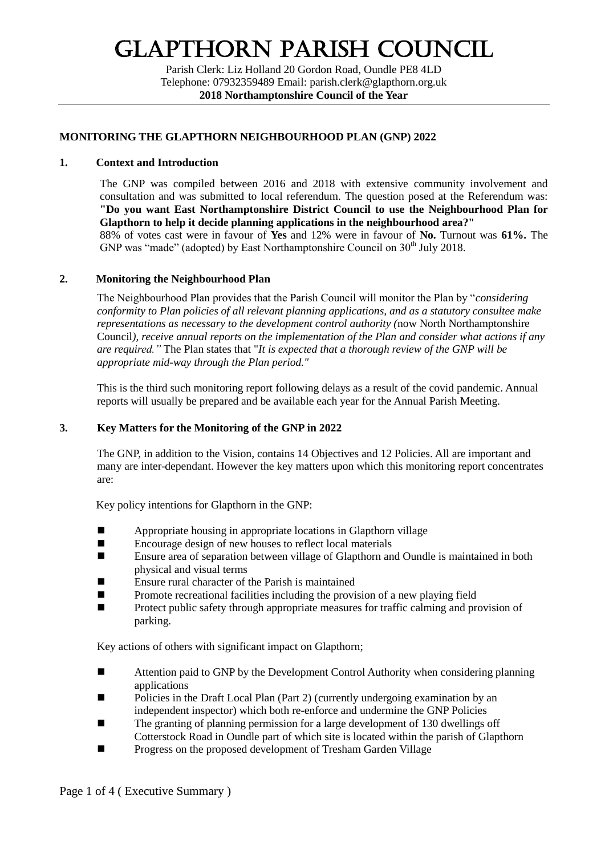# Glapthorn Parish Council

Parish Clerk: Liz Holland 20 Gordon Road, Oundle PE8 4LD Telephone: 07932359489 Email: parish.clerk@glapthorn.org.uk **2018 Northamptonshire Council of the Year**

## **MONITORING THE GLAPTHORN NEIGHBOURHOOD PLAN (GNP) 2022**

#### **1. Context and Introduction**

The GNP was compiled between 2016 and 2018 with extensive community involvement and consultation and was submitted to local referendum. The question posed at the Referendum was: **"Do you want East Northamptonshire District Council to use the Neighbourhood Plan for Glapthorn to help it decide planning applications in the neighbourhood area?"** 88% of votes cast were in favour of **Yes** and 12% were in favour of **No.** Turnout was **61%.** The GNP was "made" (adopted) by East Northamptonshire Council on 30<sup>th</sup> July 2018.

#### **2. Monitoring the Neighbourhood Plan**

The Neighbourhood Plan provides that the Parish Council will monitor the Plan by "*considering conformity to Plan policies of all relevant planning applications, and as a statutory consultee make representations as necessary to the development control authority (*now North Northamptonshire Council*), receive annual reports on the implementation of the Plan and consider what actions if any are required."* The Plan states that "*It is expected that a thorough review of the GNP will be appropriate mid-way through the Plan period."* 

This is the third such monitoring report following delays as a result of the covid pandemic. Annual reports will usually be prepared and be available each year for the Annual Parish Meeting.

#### **3. Key Matters for the Monitoring of the GNP in 2022**

The GNP, in addition to the Vision, contains 14 Objectives and 12 Policies. All are important and many are inter-dependant. However the key matters upon which this monitoring report concentrates are:

Key policy intentions for Glapthorn in the GNP:

- Appropriate housing in appropriate locations in Glapthorn village
- Encourage design of new houses to reflect local materials
- Ensure area of separation between village of Glapthorn and Oundle is maintained in both physical and visual terms
- Ensure rural character of the Parish is maintained
- Promote recreational facilities including the provision of a new playing field
- **Protect public safety through appropriate measures for traffic calming and provision of** parking.

Key actions of others with significant impact on Glapthorn;

- Attention paid to GNP by the Development Control Authority when considering planning applications
- Policies in the Draft Local Plan (Part 2) (currently undergoing examination by an independent inspector) which both re-enforce and undermine the GNP Policies
- The granting of planning permission for a large development of 130 dwellings off Cotterstock Road in Oundle part of which site is located within the parish of Glapthorn
- **Progress on the proposed development of Tresham Garden Village**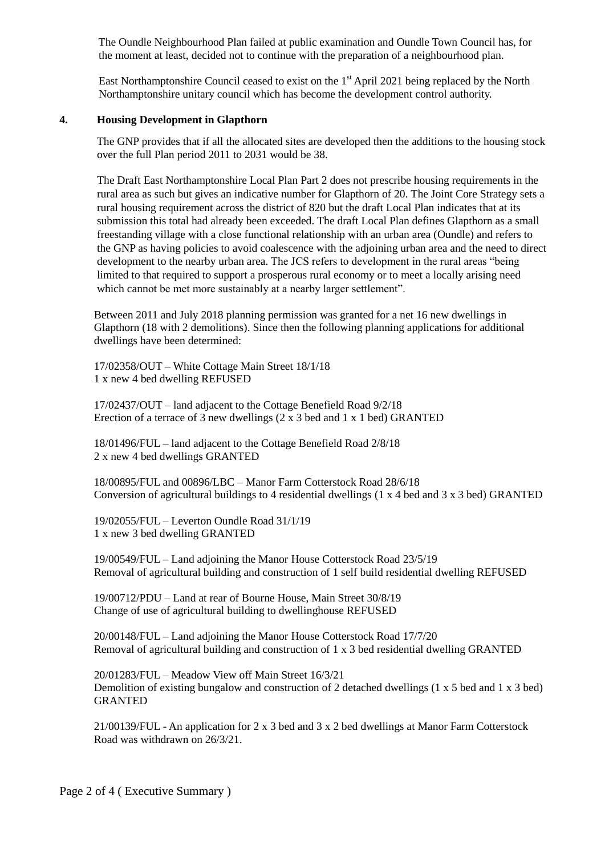The Oundle Neighbourhood Plan failed at public examination and Oundle Town Council has, for the moment at least, decided not to continue with the preparation of a neighbourhood plan.

East Northamptonshire Council ceased to exist on the  $1<sup>st</sup>$  April 2021 being replaced by the North Northamptonshire unitary council which has become the development control authority.

#### **4. Housing Development in Glapthorn**

The GNP provides that if all the allocated sites are developed then the additions to the housing stock over the full Plan period 2011 to 2031 would be 38.

The Draft East Northamptonshire Local Plan Part 2 does not prescribe housing requirements in the rural area as such but gives an indicative number for Glapthorn of 20. The Joint Core Strategy sets a rural housing requirement across the district of 820 but the draft Local Plan indicates that at its submission this total had already been exceeded. The draft Local Plan defines Glapthorn as a small freestanding village with a close functional relationship with an urban area (Oundle) and refers to the GNP as having policies to avoid coalescence with the adjoining urban area and the need to direct development to the nearby urban area. The JCS refers to development in the rural areas "being limited to that required to support a prosperous rural economy or to meet a locally arising need which cannot be met more sustainably at a nearby larger settlement".

Between 2011 and July 2018 planning permission was granted for a net 16 new dwellings in Glapthorn (18 with 2 demolitions). Since then the following planning applications for additional dwellings have been determined:

17/02358/OUT – White Cottage Main Street 18/1/18 1 x new 4 bed dwelling REFUSED

17/02437/OUT – land adjacent to the Cottage Benefield Road 9/2/18 Erection of a terrace of 3 new dwellings (2 x 3 bed and 1 x 1 bed) GRANTED

18/01496/FUL – land adjacent to the Cottage Benefield Road 2/8/18 2 x new 4 bed dwellings GRANTED

18/00895/FUL and 00896/LBC – Manor Farm Cotterstock Road 28/6/18 Conversion of agricultural buildings to 4 residential dwellings (1 x 4 bed and 3 x 3 bed) GRANTED

19/02055/FUL – Leverton Oundle Road 31/1/19 1 x new 3 bed dwelling GRANTED

19/00549/FUL – Land adjoining the Manor House Cotterstock Road 23/5/19 Removal of agricultural building and construction of 1 self build residential dwelling REFUSED

19/00712/PDU – Land at rear of Bourne House, Main Street 30/8/19 Change of use of agricultural building to dwellinghouse REFUSED

20/00148/FUL – Land adjoining the Manor House Cotterstock Road 17/7/20 Removal of agricultural building and construction of 1 x 3 bed residential dwelling GRANTED

20/01283/FUL – Meadow View off Main Street 16/3/21 Demolition of existing bungalow and construction of 2 detached dwellings (1 x 5 bed and 1 x 3 bed) GRANTED

21/00139/FUL - An application for 2 x 3 bed and 3 x 2 bed dwellings at Manor Farm Cotterstock Road was withdrawn on 26/3/21.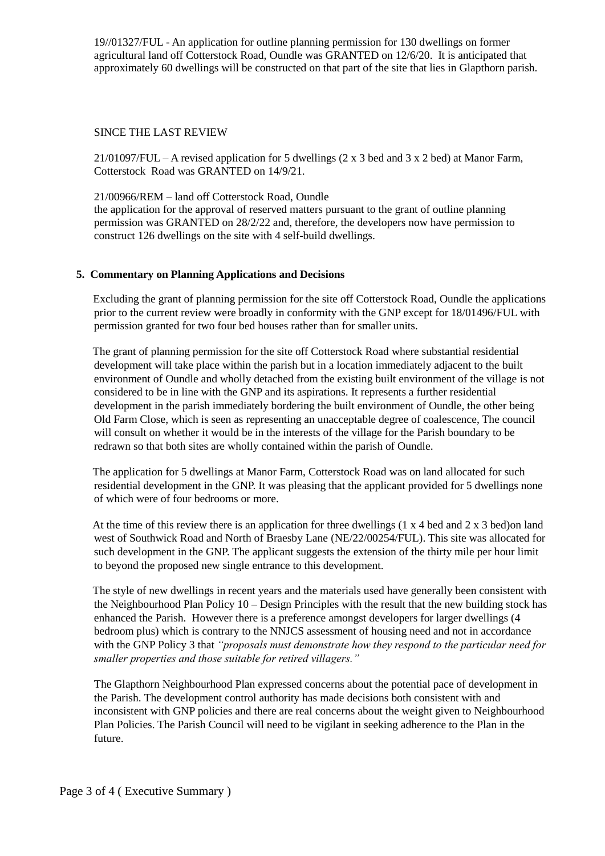19//01327/FUL - An application for outline planning permission for 130 dwellings on former agricultural land off Cotterstock Road, Oundle was GRANTED on 12/6/20. It is anticipated that approximately 60 dwellings will be constructed on that part of the site that lies in Glapthorn parish.

#### SINCE THE LAST REVIEW

21/01097/FUL – A revised application for 5 dwellings  $(2 \times 3 \text{ bed} \text{ and } 3 \times 2 \text{ bed})$  at Manor Farm, Cotterstock Road was GRANTED on 14/9/21.

21/00966/REM – land off Cotterstock Road, Oundle

the application for the approval of reserved matters pursuant to the grant of outline planning permission was GRANTED on 28/2/22 and, therefore, the developers now have permission to construct 126 dwellings on the site with 4 self-build dwellings.

## **5. Commentary on Planning Applications and Decisions**

Excluding the grant of planning permission for the site off Cotterstock Road, Oundle the applications prior to the current review were broadly in conformity with the GNP except for 18/01496/FUL with permission granted for two four bed houses rather than for smaller units.

 The grant of planning permission for the site off Cotterstock Road where substantial residential development will take place within the parish but in a location immediately adjacent to the built environment of Oundle and wholly detached from the existing built environment of the village is not considered to be in line with the GNP and its aspirations. It represents a further residential development in the parish immediately bordering the built environment of Oundle, the other being Old Farm Close, which is seen as representing an unacceptable degree of coalescence, The council will consult on whether it would be in the interests of the village for the Parish boundary to be redrawn so that both sites are wholly contained within the parish of Oundle.

 The application for 5 dwellings at Manor Farm, Cotterstock Road was on land allocated for such residential development in the GNP. It was pleasing that the applicant provided for 5 dwellings none of which were of four bedrooms or more.

At the time of this review there is an application for three dwellings  $(1 \times 4 \text{ bed} \text{ and } 2 \times 3 \text{ bed})$  and west of Southwick Road and North of Braesby Lane (NE/22/00254/FUL). This site was allocated for such development in the GNP. The applicant suggests the extension of the thirty mile per hour limit to beyond the proposed new single entrance to this development.

 The style of new dwellings in recent years and the materials used have generally been consistent with the Neighbourhood Plan Policy 10 – Design Principles with the result that the new building stock has enhanced the Parish. However there is a preference amongst developers for larger dwellings (4 bedroom plus) which is contrary to the NNJCS assessment of housing need and not in accordance with the GNP Policy 3 that *"proposals must demonstrate how they respond to the particular need for smaller properties and those suitable for retired villagers."*

The Glapthorn Neighbourhood Plan expressed concerns about the potential pace of development in the Parish. The development control authority has made decisions both consistent with and inconsistent with GNP policies and there are real concerns about the weight given to Neighbourhood Plan Policies. The Parish Council will need to be vigilant in seeking adherence to the Plan in the future.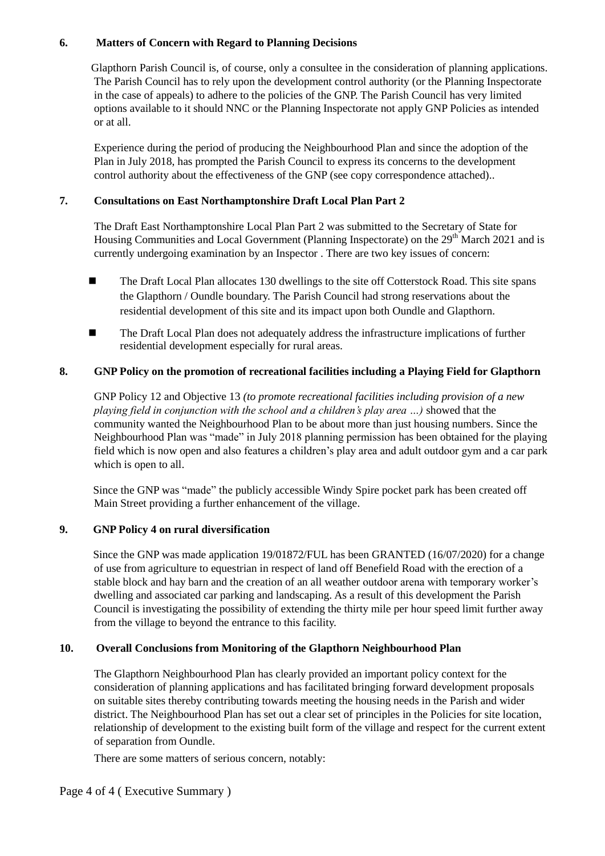# **6. Matters of Concern with Regard to Planning Decisions**

Glapthorn Parish Council is, of course, only a consultee in the consideration of planning applications. The Parish Council has to rely upon the development control authority (or the Planning Inspectorate in the case of appeals) to adhere to the policies of the GNP. The Parish Council has very limited options available to it should NNC or the Planning Inspectorate not apply GNP Policies as intended or at all.

Experience during the period of producing the Neighbourhood Plan and since the adoption of the Plan in July 2018, has prompted the Parish Council to express its concerns to the development control authority about the effectiveness of the GNP (see copy correspondence attached)..

## **7. Consultations on East Northamptonshire Draft Local Plan Part 2**

The Draft East Northamptonshire Local Plan Part 2 was submitted to the Secretary of State for Housing Communities and Local Government (Planning Inspectorate) on the 29<sup>th</sup> March 2021 and is currently undergoing examination by an Inspector . There are two key issues of concern:

- **The Draft Local Plan allocates 130 dwellings to the site off Cotterstock Road. This site spans** the Glapthorn / Oundle boundary. The Parish Council had strong reservations about the residential development of this site and its impact upon both Oundle and Glapthorn.
- **The Draft Local Plan does not adequately address the infrastructure implications of further** residential development especially for rural areas.

# **8. GNP Policy on the promotion of recreational facilities including a Playing Field for Glapthorn**

GNP Policy 12 and Objective 13 *(to promote recreational facilities including provision of a new playing field in conjunction with the school and a children's play area …)* showed that the community wanted the Neighbourhood Plan to be about more than just housing numbers. Since the Neighbourhood Plan was "made" in July 2018 planning permission has been obtained for the playing field which is now open and also features a children's play area and adult outdoor gym and a car park which is open to all.

 Since the GNP was "made" the publicly accessible Windy Spire pocket park has been created off Main Street providing a further enhancement of the village.

# **9. GNP Policy 4 on rural diversification**

Since the GNP was made application 19/01872/FUL has been GRANTED (16/07/2020) for a change of use from agriculture to equestrian in respect of land off Benefield Road with the erection of a stable block and hay barn and the creation of an all weather outdoor arena with temporary worker's dwelling and associated car parking and landscaping. As a result of this development the Parish Council is investigating the possibility of extending the thirty mile per hour speed limit further away from the village to beyond the entrance to this facility.

# **10. Overall Conclusions from Monitoring of the Glapthorn Neighbourhood Plan**

The Glapthorn Neighbourhood Plan has clearly provided an important policy context for the consideration of planning applications and has facilitated bringing forward development proposals on suitable sites thereby contributing towards meeting the housing needs in the Parish and wider district. The Neighbourhood Plan has set out a clear set of principles in the Policies for site location, relationship of development to the existing built form of the village and respect for the current extent of separation from Oundle.

There are some matters of serious concern, notably:

Page 4 of 4 ( Executive Summary )